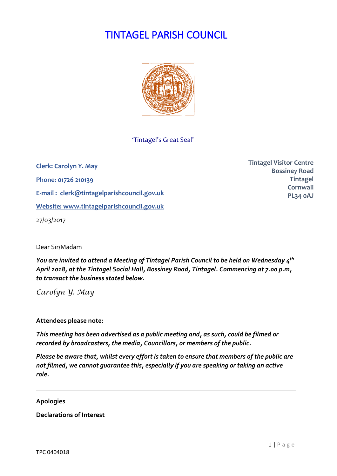# TINTAGEL PARISH COUNCIL



#### 'Tintagel's Great Seal'

**Clerk: Carolyn Y. May Phone: 01726 210139 E-mail : [clerk@tintagelparishcouncil.gov.uk](mailto:clerk@tintagelparishcouncil.gov.uk) Website: [www.tintagelparishcouncil.gov.uk](http://www.tintagelparishcouncil.gov.uk/)** 27/03/2017

**Tintagel Visitor Centre Bossiney Road Tintagel Cornwall PL34 0AJ**

Dear Sir/Madam

*You are invited to attend a Meeting of Tintagel Parish Council to be held on Wednesday 4 th April 2018, at the Tintagel Social Hall, Bossiney Road, Tintagel. Commencing at 7.00 p.m, to transact the business stated below.*

*Carolyn Y. May*

**Attendees please note:**

*This meeting has been advertised as a public meeting and, as such, could be filmed or recorded by broadcasters, the media, Councillors, or members of the public.*

*Please be aware that, whilst every effort is taken to ensure that members of the public are not filmed, we cannot guarantee this, especially if you are speaking or taking an active role.*

#### **Apologies**

**Declarations of Interest**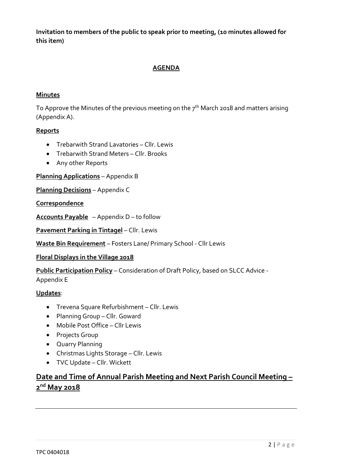**Invitation to members of the public to speak prior to meeting, (10 minutes allowed for this item)**

### **AGENDA**

#### **Minutes**

To Approve the Minutes of the previous meeting on the 7 $^{\rm th}$  March 2018 and matters arising (Appendix A).

#### **Reports**

- Trebarwith Strand Lavatories Cllr. Lewis
- Trebarwith Strand Meters Cllr. Brooks
- Any other Reports

**Planning Applications** – Appendix B

**Planning Decisions** – Appendix C

#### **Correspondence**

**Accounts Payable** – Appendix D – to follow

**Pavement Parking in Tintagel** – Cllr. Lewis

**Waste Bin Requirement** – Fosters Lane/ Primary School - Cllr Lewis

#### **Floral Displays in the Village 2018**

**Public Participation Policy** – Consideration of Draft Policy, based on SLCC Advice -

Appendix E

#### **Updates**:

- Trevena Square Refurbishment Cllr. Lewis
- Planning Group Cllr. Goward
- Mobile Post Office Cllr Lewis
- Projects Group
- Quarry Planning
- Christmas Lights Storage Cllr. Lewis
- TVC Update Cllr. Wickett

# **Date and Time of Annual Parish Meeting and Next Parish Council Meeting – 2 nd May 2018**